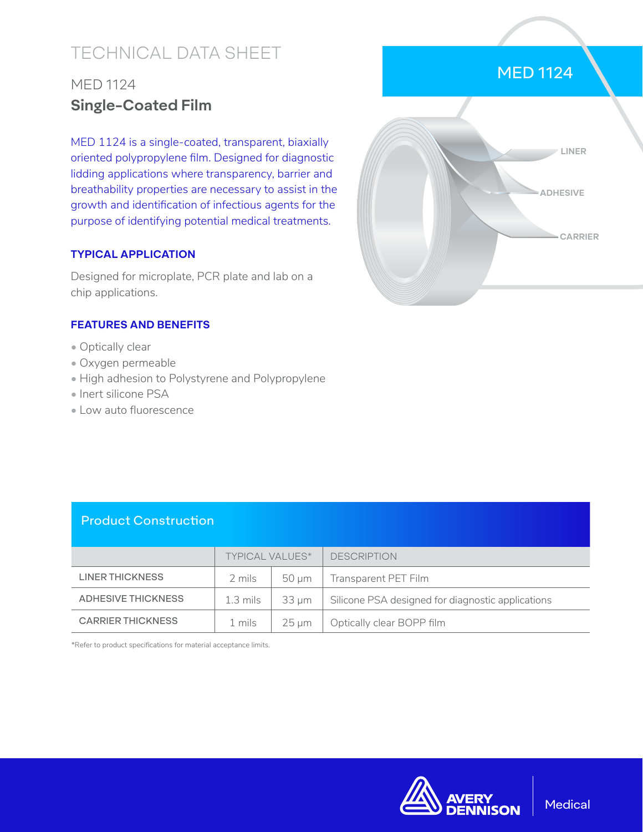# TECHNICAL DATA SHEET

# MED 1124 **Single-Coated Film**

MED 1124 is a single-coated, transparent, biaxially oriented polypropylene film. Designed for diagnostic lidding applications where transparency, barrier and breathability properties are necessary to assist in the growth and identification of infectious agents for the purpose of identifying potential medical treatments.

#### **TYPICAL APPLICATION**

Designed for microplate, PCR plate and lab on a chip applications.

#### **FEATURES AND BENEFITS**

- Optically clear
- Oxygen permeable
- High adhesion to Polystyrene and Polypropylene
- Inert silicone PSA
- Low auto fluorescence



MED 1124

### Product Construction

|                           | <b>TYPICAL VALUES*</b> |            | <b>DESCRIPTION</b>                                |
|---------------------------|------------------------|------------|---------------------------------------------------|
| LINER THICKNESS           | 2 mils                 | $50 \mu m$ | Transparent PET Film                              |
| <b>ADHESIVE THICKNESS</b> | $1.3 \text{ miles}$    | 33 um      | Silicone PSA designed for diagnostic applications |
| <b>CARRIER THICKNESS</b>  | 1 mils                 | $25 \mu m$ | Optically clear BOPP film                         |

\*Refer to product specifications for material acceptance limits.